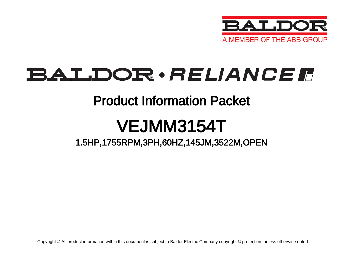

## BALDOR · RELIANCE F

## Product Information Packet

# VEJMM3154T

## 1.5HP,1755RPM,3PH,60HZ,145JM,3522M,OPEN

Copyright © All product information within this document is subject to Baldor Electric Company copyright © protection, unless otherwise noted.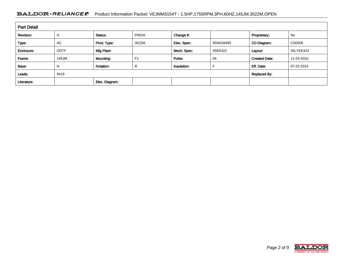### BALDOR · RELIANCE F Product Information Packet: VEJMM3154T - 1.5HP,1755RPM,3PH,60HZ,145JM,3522M,OPEN

| <b>Part Detail</b> |             |                  |                |             |          |                      |            |  |
|--------------------|-------------|------------------|----------------|-------------|----------|----------------------|------------|--|
| Revision:          | Н           | Status:          | PRD/A          | Change #:   |          | Proprietary:         | No         |  |
| Type:              | AC          | Prod. Type:      | 3522M          | Elec. Spec: | 35WGM495 | CD Diagram:          | CD0005     |  |
| Enclosure:         | <b>ODTF</b> | Mfg Plant:       |                | Mech. Spec: | 35EE422  | Layout:              | 35LYEE422  |  |
| Frame:             | 145JM       | Mounting:        | F <sub>1</sub> | Poles:      | 04       | <b>Created Date:</b> | 11-24-2010 |  |
| Base:              | N           | <b>Rotation:</b> | R              | Insulation: |          | Eff. Date:           | 07-22-2015 |  |
| Leads:             | 9#18        |                  |                |             |          | <b>Replaced By:</b>  |            |  |
| Literature:        |             | Elec. Diagram:   |                |             |          |                      |            |  |

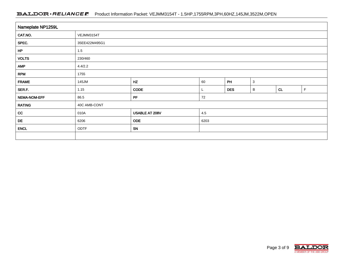### BALDOR · RELIANCE F Product Information Packet: VEJMM3154T - 1.5HP,1755RPM,3PH,60HZ,145JM,3522M,OPEN

| Nameplate NP1259L |               |                |      |            |              |    |   |  |  |
|-------------------|---------------|----------------|------|------------|--------------|----|---|--|--|
| CAT.NO.           | VEJMM3154T    |                |      |            |              |    |   |  |  |
| SPEC.             | 35EE422M495G1 |                |      |            |              |    |   |  |  |
| HP                | 1.5           |                |      |            |              |    |   |  |  |
| <b>VOLTS</b>      | 230/460       |                |      |            |              |    |   |  |  |
| <b>AMP</b>        | 4.4/2.2       |                |      |            |              |    |   |  |  |
| <b>RPM</b>        | 1755          |                |      |            |              |    |   |  |  |
| <b>FRAME</b>      | 145JM         | HZ             | 60   | PH         | $\mathbf{3}$ |    |   |  |  |
| SER.F.            | 1.15          | CODE           |      | <b>DES</b> | B            | CL | F |  |  |
| NEMA-NOM-EFF      | 86.5          | PF             | 72   |            |              |    |   |  |  |
| <b>RATING</b>     | 40C AMB-CONT  |                |      |            |              |    |   |  |  |
| cc                | 010A          | USABLE AT 208V | 4.5  |            |              |    |   |  |  |
| DE                | 6206          | <b>ODE</b>     | 6203 |            |              |    |   |  |  |
| <b>ENCL</b>       | <b>ODTF</b>   | SN             |      |            |              |    |   |  |  |
|                   |               |                |      |            |              |    |   |  |  |

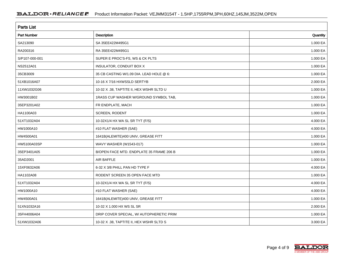| <b>Parts List</b>  |                                          |          |  |  |  |  |
|--------------------|------------------------------------------|----------|--|--|--|--|
| <b>Part Number</b> | <b>Description</b>                       | Quantity |  |  |  |  |
| SA213090           | SA 35EE422M495G1                         | 1.000 EA |  |  |  |  |
| RA200316           | RA 35EE422M495G1                         | 1.000 EA |  |  |  |  |
| S/P107-000-001     | SUPER E PROC'S-FS, WS & CK PLTS          | 1.000 EA |  |  |  |  |
| NS2512A01          | <b>INSULATOR, CONDUIT BOX X</b>          | 1.000 EA |  |  |  |  |
| 35CB3009           | 35 CB CASTING W/1.09 DIA. LEAD HOLE @ 6: | 1.000 EA |  |  |  |  |
| 51XB1016A07        | 10-16 X 7/16 HXWSSLD SERTYB              | 2.000 EA |  |  |  |  |
| 11XW1032G06        | 10-32 X .38, TAPTITE II, HEX WSHR SLTD U | 1.000 EA |  |  |  |  |
| HW3001B02          | 1RASS CUP WASHER W/GROUND SYMBOL TAB,    | 1.000 EA |  |  |  |  |
| 35EP3201A02        | FR ENDPLATE, MACH                        | 1.000 EA |  |  |  |  |
| HA1100A03          | <b>SCREEN, RODENT</b>                    | 1.000 EA |  |  |  |  |
| 51XT1032A04        | 10-32X1/4 HX WA SL SR TYT (F/S)          | 4.000 EA |  |  |  |  |
| HW1000A10          | #10 FLAT WASHER (SAE)                    | 4.000 EA |  |  |  |  |
| HW4500A01          | 1641B(ALEMITE)400 UNIV, GREASE FITT      | 1.000 EA |  |  |  |  |
| HW5100A03SP        | WAVY WASHER (W1543-017)                  | 1.000 EA |  |  |  |  |
| 35EP3401A05        | B/OPEN FACE MTD. ENDPLATE 35 FRAME 206 B | 1.000 EA |  |  |  |  |
| 35AD2001           | AIR BAFFLE                               | 1.000 EA |  |  |  |  |
| 15XF0632A06        | 6-32 X 3/8 PHILL PAN HD TYPE F           | 4.000 EA |  |  |  |  |
| HA1102A08          | RODENT SCREEN 35 OPEN FACE MTD           | 1.000 EA |  |  |  |  |
| 51XT1032A04        | 10-32X1/4 HX WA SL SR TYT (F/S)          | 4.000 EA |  |  |  |  |
| HW1000A10          | #10 FLAT WASHER (SAE)                    | 4.000 EA |  |  |  |  |
| HW4500A01          | 1641B(ALEMITE)400 UNIV, GREASE FITT      | 1.000 EA |  |  |  |  |
| 51XN1032A16        | 10-32 X 1.000 HX WS SL SR                | 2.000 EA |  |  |  |  |
| 35FH4006A04        | DRIP COVER SPECIAL, W/ AUTOPHERETIC PRIM | 1.000 EA |  |  |  |  |
| 51XW1032A06        | 10-32 X .38, TAPTITE II, HEX WSHR SLTD S | 3.000 EA |  |  |  |  |

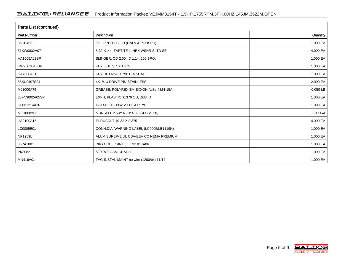| <b>Parts List (continued)</b> |                                          |          |  |  |  |  |
|-------------------------------|------------------------------------------|----------|--|--|--|--|
| <b>Part Number</b>            | <b>Description</b>                       | Quantity |  |  |  |  |
| 35CB4521                      | 35 LIPPED CB LID (GALV & PHOSPH)         | 1.000 EA |  |  |  |  |
| 51XW0832A07                   | 8-32 X .44, TAPTITE II, HEX WSHR SLTD SE | 4.000 EA |  |  |  |  |
| HA1005A02SP                   | SLINGER, OD 2.00, ID 1.14, 206 BRG,      | 1.000 EA |  |  |  |  |
| HW2501D13SP                   | KEY, 3/16 SQ X 1.375                     | 1.000 EA |  |  |  |  |
| HA7000A01                     | KEY RETAINER 7/8" DIA SHAFT              | 1.000 EA |  |  |  |  |
| 85XU0407S04                   | 4X1/4 U DRIVE PIN STAINLESS              | 2.000 EA |  |  |  |  |
| MJ1000A75                     | GREASE, POLYREX EM EXXON (USe 4824-15A)  | 0.050 LB |  |  |  |  |
| 35FN3002A05SP                 | EXFN, PLASTIC, 6.376 OD, .638 ID         | 1.000 EA |  |  |  |  |
| 51XB1214A16                   | 12-14X1.00 HXWSSLD SERTYB                | 1.000 EA |  |  |  |  |
| MG1000Y03                     | MUNSELL 2.53Y 6.70/ 4.60, GLOSS 20,      | 0.017 GA |  |  |  |  |
| HA3100A15                     | THRUBOLT 10-32 X 8.375                   | 4.000 EA |  |  |  |  |
| LC0005E01                     | CONN.DIA./WARNING LABEL (LC0005/LB1119N) | 1.000 EA |  |  |  |  |
| <b>NP1259L</b>                | ALUM SUPER-E UL CSA-EEV CC NEMA PREMIUM  | 1.000 EA |  |  |  |  |
| 36PA1001                      | PKG GRP, PRINT<br>PK1017A06              | 1.000 EA |  |  |  |  |
| PK3082                        | STYROFOAM CRADLE                         | 1.000 EA |  |  |  |  |
| MN416A01                      | TAG-INSTAL-MAINT no wire (1200/bx) 11/14 | 1.000 EA |  |  |  |  |

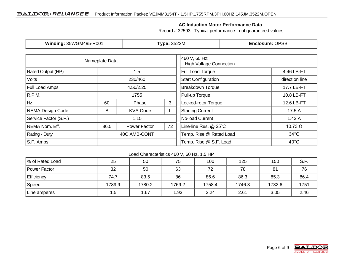### **AC Induction Motor Performance Data**

Record # 32593 - Typical performance - not guaranteed values

| Winding: 35WGM495-R001             |                      | <b>Type: 3522M</b> |                                                 | <b>Enclosure: OPSB</b>  |                |  |
|------------------------------------|----------------------|--------------------|-------------------------------------------------|-------------------------|----------------|--|
|                                    | Nameplate Data       |                    | 460 V, 60 Hz:<br><b>High Voltage Connection</b> |                         |                |  |
| <b>Rated Output (HP)</b>           | 1.5                  |                    |                                                 | <b>Full Load Torque</b> | 4.46 LB-FT     |  |
| <b>Volts</b><br>230/460            |                      |                    | <b>Start Configuration</b>                      | direct on line          |                |  |
| <b>Full Load Amps</b><br>4.50/2.25 |                      |                    | <b>Breakdown Torque</b>                         | 17.7 LB-FT              |                |  |
| R.P.M.                             |                      | 1755               |                                                 | Pull-up Torque          | 10.8 LB-FT     |  |
| Hz                                 | 60                   | 3<br>Phase         |                                                 | Locked-rotor Torque     | 12.6 LB-FT     |  |
| NEMA Design Code                   | B<br><b>KVA Code</b> |                    | <b>Starting Current</b>                         | 17.5 A                  |                |  |
| Service Factor (S.F.)              |                      | 1.15               |                                                 | No-load Current         | 1.43A          |  |
| NEMA Nom. Eff.<br>86.5             |                      | Power Factor       | 72                                              | Line-line Res. @ 25°C   | 10.73 $\Omega$ |  |
| <b>Rating - Duty</b>               |                      | 40C AMB-CONT       |                                                 | Temp. Rise @ Rated Load | $34^{\circ}$ C |  |
| S.F. Amps                          |                      |                    |                                                 | Temp. Rise @ S.F. Load  | $40^{\circ}$ C |  |

Load Characteristics 460 V, 60 Hz, 1.5 HP

| 1% of Rated Load  | 25     | 50     | 75     | 100    | 125    | 150    | S.F. |
|-------------------|--------|--------|--------|--------|--------|--------|------|
| Power Factor      | 32     | 50     | 63     | 72     | 78     | 81     | 76   |
| <b>Efficiency</b> | 74.7   | 83.5   | 86     | 86.6   | 86.3   | 85.3   | 86.4 |
| Speed             | 1789.9 | 1780.2 | 1769.2 | 1758.4 | 1746.3 | 1732.6 | 1751 |
| Line amperes      | 1.5    | 67، ا  | .93    | 2.24   | 2.61   | 3.05   | 2.46 |

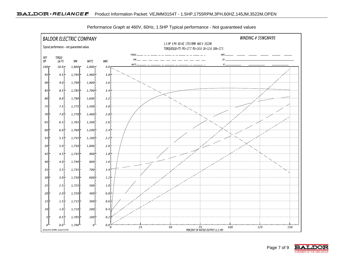

Performance Graph at 460V, 60Hz, 1.5HP Typical performance - Not guaranteed values

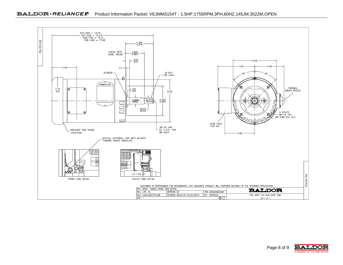